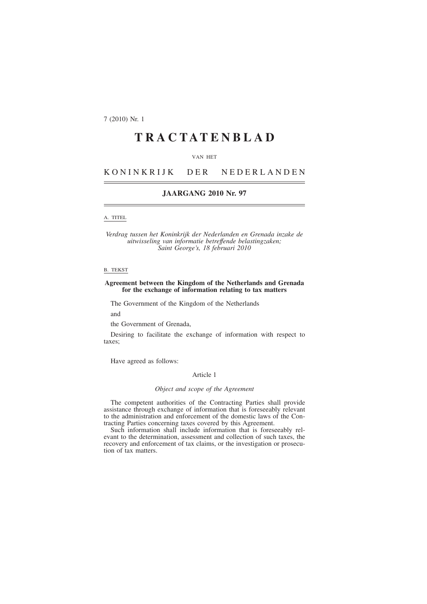# **TRACTATENBLAD**

#### VAN HET

# K O N I N K R L I K D E R N E D E R L A N D E N

# **17 JAARGANG 2010 Nr. 97**

#### A. TITEL

#### *Verdrag tussen het Koninkrijk der Nederlanden en Grenada inzake de uitwisseling van informatie betreffende belastingzaken; Saint George's, 18 februari 2010*

#### B. TEKST

#### **Agreement between the Kingdom of the Netherlands and Grenada for the exchange of information relating to tax matters**

The Government of the Kingdom of the Netherlands

and

the Government of Grenada,

Desiring to facilitate the exchange of information with respect to taxes;

Have agreed as follows:

#### Article 1

#### *Object and scope of the Agreement*

The competent authorities of the Contracting Parties shall provide assistance through exchange of information that is foreseeably relevant to the administration and enforcement of the domestic laws of the Contracting Parties concerning taxes covered by this Agreement.

Such information shall include information that is foreseeably relevant to the determination, assessment and collection of such taxes, the recovery and enforcement of tax claims, or the investigation or prosecution of tax matters.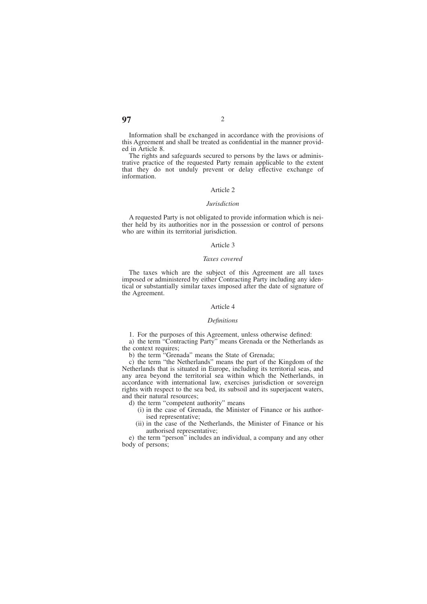Information shall be exchanged in accordance with the provisions of this Agreement and shall be treated as confidential in the manner provided in Article 8.

The rights and safeguards secured to persons by the laws or administrative practice of the requested Party remain applicable to the extent that they do not unduly prevent or delay effective exchange of information.

## Article 2

#### *Jurisdiction*

A requested Party is not obligated to provide information which is neither held by its authorities nor in the possession or control of persons who are within its territorial jurisdiction.

## Article 3

#### *Taxes covered*

The taxes which are the subject of this Agreement are all taxes imposed or administered by either Contracting Party including any identical or substantially similar taxes imposed after the date of signature of the Agreement.

#### $A$ rticle  $\Lambda$

#### *Definitions*

1. For the purposes of this Agreement, unless otherwise defined:

a) the term "Contracting Party" means Grenada or the Netherlands as the context requires;

b) the term "Grenada" means the State of Grenada;

c) the term "the Netherlands" means the part of the Kingdom of the Netherlands that is situated in Europe, including its territorial seas, and any area beyond the territorial sea within which the Netherlands, in accordance with international law, exercises jurisdiction or sovereign rights with respect to the sea bed, its subsoil and its superjacent waters, and their natural resources;

d) the term "competent authority" means

- (i) in the case of Grenada, the Minister of Finance or his authorised representative;
- (ii) in the case of the Netherlands, the Minister of Finance or his authorised representative;

e) the term "person" includes an individual, a company and any other body of persons;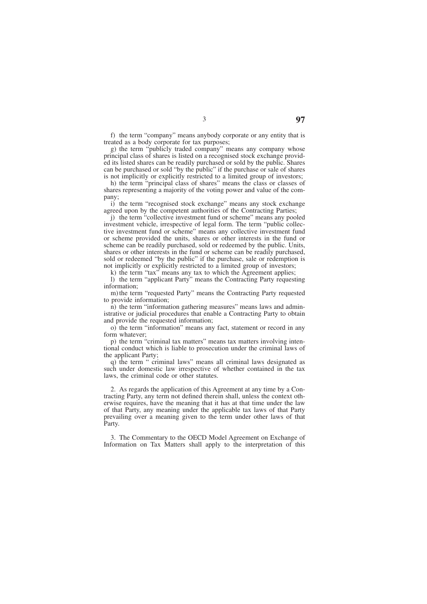f) the term "company" means anybody corporate or any entity that is treated as a body corporate for tax purposes;

g) the term "publicly traded company" means any company whose principal class of shares is listed on a recognised stock exchange provided its listed shares can be readily purchased or sold by the public. Shares can be purchased or sold "by the public" if the purchase or sale of shares is not implicitly or explicitly restricted to a limited group of investors;

h) the term "principal class of shares" means the class or classes of shares representing a majority of the voting power and value of the company;

i) the term "recognised stock exchange" means any stock exchange agreed upon by the competent authorities of the Contracting Parties;

j) the term "collective investment fund or scheme" means any pooled investment vehicle, irrespective of legal form. The term "public collective investment fund or scheme" means any collective investment fund or scheme provided the units, shares or other interests in the fund or scheme can be readily purchased, sold or redeemed by the public. Units, shares or other interests in the fund or scheme can be readily purchased, sold or redeemed "by the public" if the purchase, sale or redemption is not implicitly or explicitly restricted to a limited group of investors;

k) the term "tax" means any tax to which the Agreement applies;

l) the term "applicant Party" means the Contracting Party requesting information;

m) the term "requested Party" means the Contracting Party requested to provide information;

n) the term "information gathering measures" means laws and administrative or judicial procedures that enable a Contracting Party to obtain and provide the requested information;

o) the term "information" means any fact, statement or record in any form whatever;

p) the term "criminal tax matters" means tax matters involving intentional conduct which is liable to prosecution under the criminal laws of the applicant Party;

q) the term " criminal laws" means all criminal laws designated as such under domestic law irrespective of whether contained in the tax laws, the criminal code or other statutes.

2. As regards the application of this Agreement at any time by a Contracting Party, any term not defined therein shall, unless the context otherwise requires, have the meaning that it has at that time under the law of that Party, any meaning under the applicable tax laws of that Party prevailing over a meaning given to the term under other laws of that Party.

3. The Commentary to the OECD Model Agreement on Exchange of Information on Tax Matters shall apply to the interpretation of this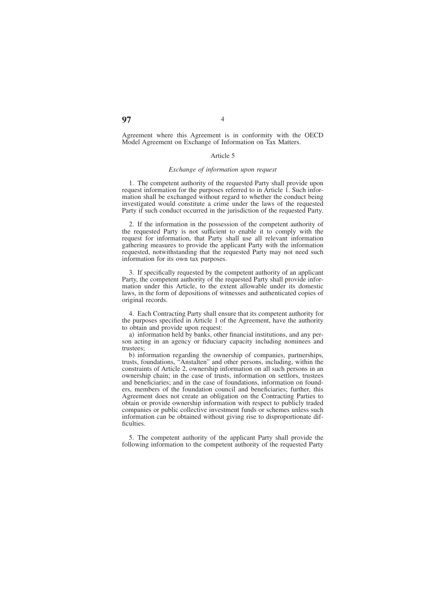Agreement where this Agreement is in conformity with the OECD Model Agreement on Exchange of Information on Tax Matters.

#### Article 5

#### *Exchange of information upon request*

1. The competent authority of the requested Party shall provide upon request information for the purposes referred to in Article 1. Such information shall be exchanged without regard to whether the conduct being investigated would constitute a crime under the laws of the requested Party if such conduct occurred in the jurisdiction of the requested Party.

2. If the information in the possession of the competent authority of the requested Party is not sufficient to enable it to comply with the request for information, that Party shall use all relevant information gathering measures to provide the applicant Party with the information requested, notwithstanding that the requested Party may not need such information for its own tax purposes.

3. If specifically requested by the competent authority of an applicant Party, the competent authority of the requested Party shall provide information under this Article, to the extent allowable under its domestic laws, in the form of depositions of witnesses and authenticated copies of original records.

4. Each Contracting Party shall ensure that its competent authority for the purposes specified in Article 1 of the Agreement, have the authority to obtain and provide upon request:

a) information held by banks, other financial institutions, and any person acting in an agency or fiduciary capacity including nominees and trustees;

b) information regarding the ownership of companies, partnerships, trusts, foundations, "Anstalten" and other persons, including, within the constraints of Article 2, ownership information on all such persons in an ownership chain; in the case of trusts, information on settlors, trustees and beneficiaries; and in the case of foundations, information on founders, members of the foundation council and beneficiaries; further, this Agreement does not create an obligation on the Contracting Parties to obtain or provide ownership information with respect to publicly traded companies or public collective investment funds or schemes unless such information can be obtained without giving rise to disproportionate difficulties.

5. The competent authority of the applicant Party shall provide the following information to the competent authority of the requested Party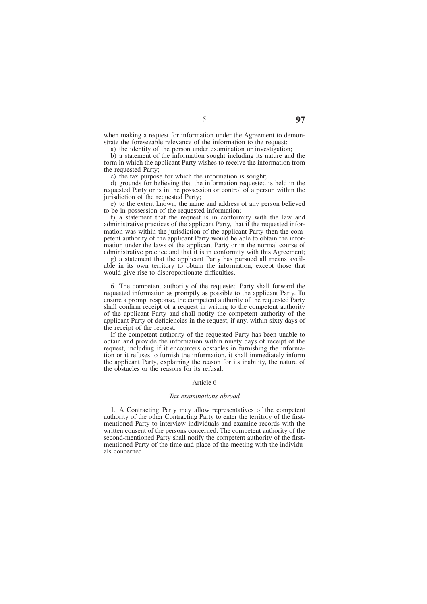when making a request for information under the Agreement to demonstrate the foreseeable relevance of the information to the request:

a) the identity of the person under examination or investigation;

b) a statement of the information sought including its nature and the form in which the applicant Party wishes to receive the information from the requested Party;

c) the tax purpose for which the information is sought;

d) grounds for believing that the information requested is held in the requested Party or is in the possession or control of a person within the jurisdiction of the requested Party;

e) to the extent known, the name and address of any person believed to be in possession of the requested information;

f) a statement that the request is in conformity with the law and administrative practices of the applicant Party, that if the requested information was within the jurisdiction of the applicant Party then the competent authority of the applicant Party would be able to obtain the information under the laws of the applicant Party or in the normal course of administrative practice and that it is in conformity with this Agreement;

g) a statement that the applicant Party has pursued all means available in its own territory to obtain the information, except those that would give rise to disproportionate difficulties.

6. The competent authority of the requested Party shall forward the requested information as promptly as possible to the applicant Party. To ensure a prompt response, the competent authority of the requested Party shall confirm receipt of a request in writing to the competent authority of the applicant Party and shall notify the competent authority of the applicant Party of deficiencies in the request, if any, within sixty days of the receipt of the request.

If the competent authority of the requested Party has been unable to obtain and provide the information within ninety days of receipt of the request, including if it encounters obstacles in furnishing the information or it refuses to furnish the information, it shall immediately inform the applicant Party, explaining the reason for its inability, the nature of the obstacles or the reasons for its refusal.

#### Article 6

#### *Tax examinations abroad*

1. A Contracting Party may allow representatives of the competent authority of the other Contracting Party to enter the territory of the firstmentioned Party to interview individuals and examine records with the written consent of the persons concerned. The competent authority of the second-mentioned Party shall notify the competent authority of the firstmentioned Party of the time and place of the meeting with the individuals concerned.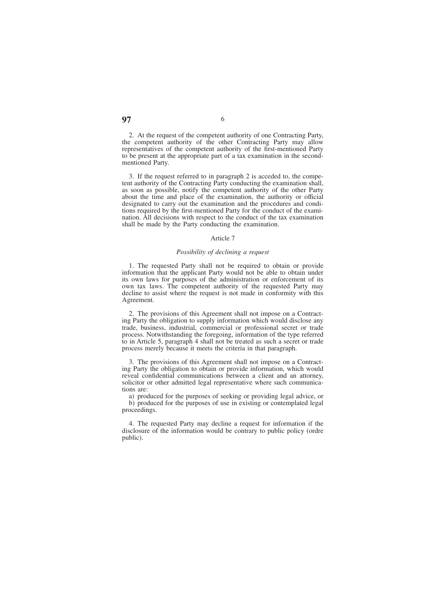2. At the request of the competent authority of one Contracting Party, the competent authority of the other Contracting Party may allow representatives of the competent authority of the first-mentioned Party to be present at the appropriate part of a tax examination in the secondmentioned Party.

3. If the request referred to in paragraph 2 is acceded to, the competent authority of the Contracting Party conducting the examination shall, as soon as possible, notify the competent authority of the other Party about the time and place of the examination, the authority or official designated to carry out the examination and the procedures and conditions required by the first-mentioned Party for the conduct of the examination. All decisions with respect to the conduct of the tax examination shall be made by the Party conducting the examination.

#### Article 7

#### *Possibility of declining a request*

1. The requested Party shall not be required to obtain or provide information that the applicant Party would not be able to obtain under its own laws for purposes of the administration or enforcement of its own tax laws. The competent authority of the requested Party may decline to assist where the request is not made in conformity with this Agreement.

2. The provisions of this Agreement shall not impose on a Contracting Party the obligation to supply information which would disclose any trade, business, industrial, commercial or professional secret or trade process. Notwithstanding the foregoing, information of the type referred to in Article 5, paragraph 4 shall not be treated as such a secret or trade process merely because it meets the criteria in that paragraph.

3. The provisions of this Agreement shall not impose on a Contracting Party the obligation to obtain or provide information, which would reveal confidential communications between a client and an attorney, solicitor or other admitted legal representative where such communications are:

a) produced for the purposes of seeking or providing legal advice, or

b) produced for the purposes of use in existing or contemplated legal proceedings.

4. The requested Party may decline a request for information if the disclosure of the information would be contrary to public policy (ordre public).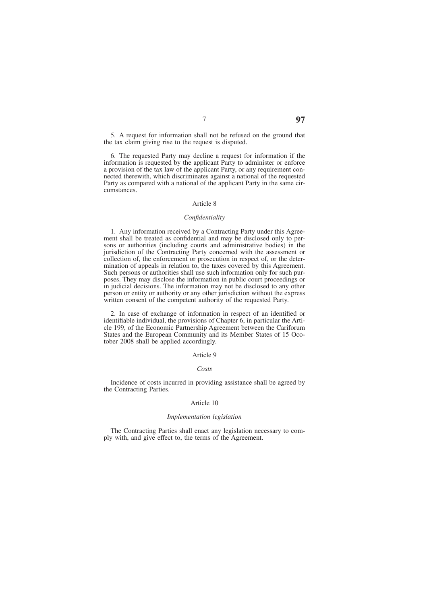5. A request for information shall not be refused on the ground that the tax claim giving rise to the request is disputed.

6. The requested Party may decline a request for information if the information is requested by the applicant Party to administer or enforce a provision of the tax law of the applicant Party, or any requirement connected therewith, which discriminates against a national of the requested Party as compared with a national of the applicant Party in the same circumstances.

#### Article 8

#### *Confidentiality*

1. Any information received by a Contracting Party under this Agreement shall be treated as confidential and may be disclosed only to persons or authorities (including courts and administrative bodies) in the jurisdiction of the Contracting Party concerned with the assessment or collection of, the enforcement or prosecution in respect of, or the determination of appeals in relation to, the taxes covered by this Agreement. Such persons or authorities shall use such information only for such purposes. They may disclose the information in public court proceedings or in judicial decisions. The information may not be disclosed to any other person or entity or authority or any other jurisdiction without the express written consent of the competent authority of the requested Party.

2. In case of exchange of information in respect of an identified or identifiable individual, the provisions of Chapter 6, in particular the Article 199, of the Economic Partnership Agreement between the Cariforum States and the European Community and its Member States of 15 Ocotober 2008 shall be applied accordingly.

#### Article 9

#### *Costs*

Incidence of costs incurred in providing assistance shall be agreed by the Contracting Parties.

#### Article 10

#### *Implementation legislation*

The Contracting Parties shall enact any legislation necessary to comply with, and give effect to, the terms of the Agreement.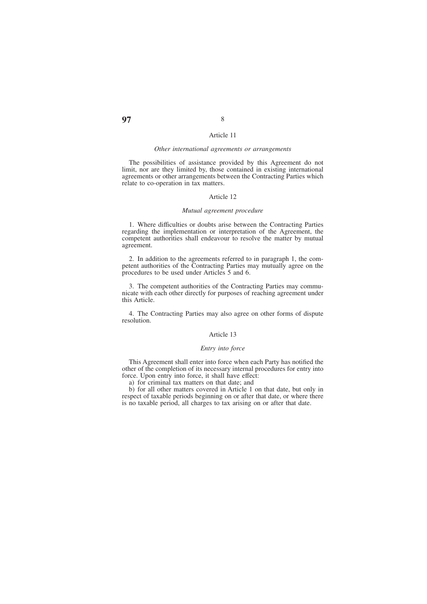#### Article 11

#### *Other international agreements or arrangements*

The possibilities of assistance provided by this Agreement do not limit, nor are they limited by, those contained in existing international agreements or other arrangements between the Contracting Parties which relate to co-operation in tax matters.

#### Article 12

#### *Mutual agreement procedure*

1. Where difficulties or doubts arise between the Contracting Parties regarding the implementation or interpretation of the Agreement, the competent authorities shall endeavour to resolve the matter by mutual agreement.

2. In addition to the agreements referred to in paragraph 1, the competent authorities of the Contracting Parties may mutually agree on the procedures to be used under Articles 5 and 6.

3. The competent authorities of the Contracting Parties may communicate with each other directly for purposes of reaching agreement under this Article.

4. The Contracting Parties may also agree on other forms of dispute resolution.

#### Article 13

#### *Entry into force*

This Agreement shall enter into force when each Party has notified the other of the completion of its necessary internal procedures for entry into force. Upon entry into force, it shall have effect:

a) for criminal tax matters on that date; and

b) for all other matters covered in Article 1 on that date, but only in respect of taxable periods beginning on or after that date, or where there is no taxable period, all charges to tax arising on or after that date.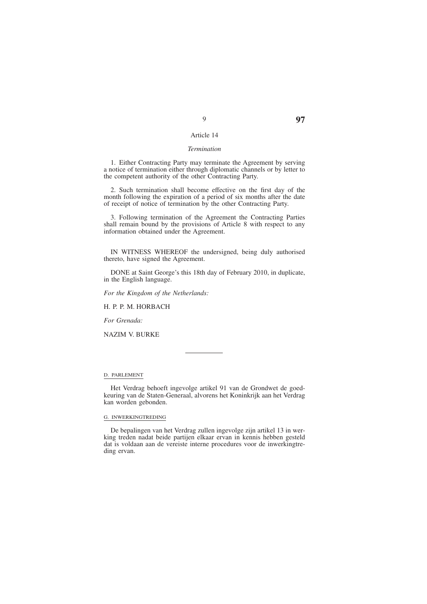#### Article 14

#### *Termination*

1. Either Contracting Party may terminate the Agreement by serving a notice of termination either through diplomatic channels or by letter to the competent authority of the other Contracting Party.

2. Such termination shall become effective on the first day of the month following the expiration of a period of six months after the date of receipt of notice of termination by the other Contracting Party.

3. Following termination of the Agreement the Contracting Parties shall remain bound by the provisions of Article 8 with respect to any information obtained under the Agreement.

IN WITNESS WHEREOF the undersigned, being duly authorised thereto, have signed the Agreement.

DONE at Saint George's this 18th day of February 2010, in duplicate, in the English language.

*For the Kingdom of the Netherlands:*

H. P. P. M. HORBACH

*For Grenada:*

NAZIM V. BURKE

D. PARLEMENT

Het Verdrag behoeft ingevolge artikel 91 van de Grondwet de goedkeuring van de Staten-Generaal, alvorens het Koninkrijk aan het Verdrag kan worden gebonden.

G. INWERKINGTREDING

De bepalingen van het Verdrag zullen ingevolge zijn artikel 13 in werking treden nadat beide partijen elkaar ervan in kennis hebben gesteld dat is voldaan aan de vereiste interne procedures voor de inwerkingtreding ervan.